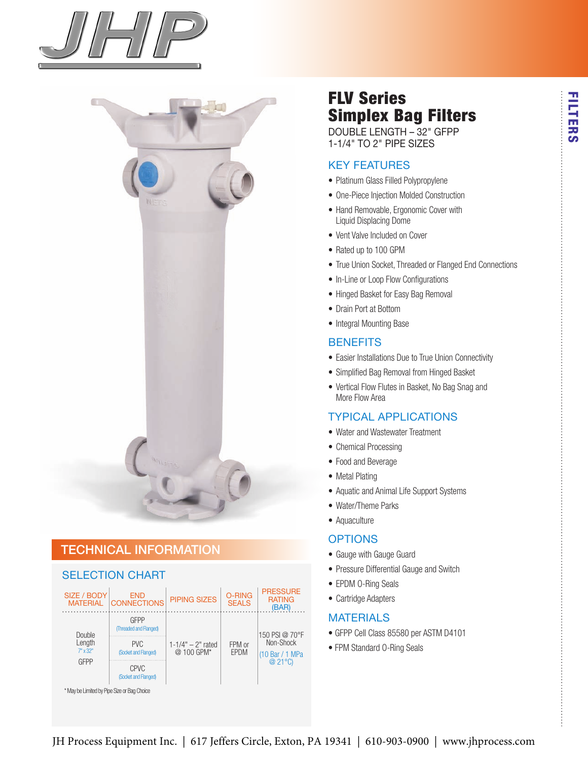



## technical information

#### seLection chart



# FLV Series Simplex Bag Filters

DoubLe Length – 32" gFPP 1-1/4" to 2" PiPe sizes

#### Key Features

- Platinum Glass Filled Polypropylene
- One-Piece Injection Molded Construction
- Hand Removable, Ergonomic Cover with Liquid Displacing Dome
- Vent Valve Included on Cover
- Rated up to 100 GPM
- True Union Socket, Threaded or Flanged End Connections
- In-Line or Loop Flow Configurations
- Hinged Basket for Easy Bag Removal
- Drain Port at Bottom
- Integral Mounting Base

#### **BENEFITS**

- Easier Installations Due to True Union Connectivity
- Simplified Bag Removal from Hinged Basket
- Vertical Flow Flutes in Basket, No Bag Snag and More Flow Area

#### tyPicaL aPPLications

- Water and Wastewater Treatment
- Chemical Processing
- Food and Beverage
- Metal Plating
- Aquatic and Animal Life Support Systems
- Water/Theme Parks
- Aquaculture

#### **OPTIONS**

- Gauge with Gauge Guard
- Pressure Differential Gauge and Switch
- EPDM O-Ring Seals
- Cartridge Adapters

#### **MATERIALS**

- GFPP Cell Class 85580 per ASTM D4101
- FPM Standard O-Ring Seals